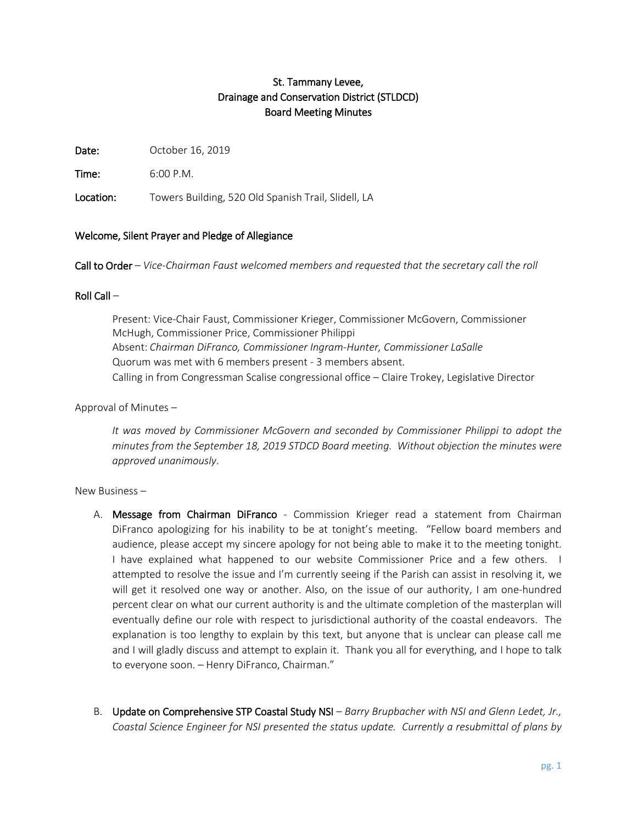# St. Tammany Levee, Drainage and Conservation District (STLDCD) Board Meeting Minutes

Date: October 16, 2019

Time: 6:00 P.M.

Location: Towers Building, 520 Old Spanish Trail, Slidell, LA

### Welcome, Silent Prayer and Pledge of Allegiance

Call to Order – *Vice-Chairman Faust welcomed members and requested that the secretary call the roll*

### Roll Call –

Present: Vice-Chair Faust, Commissioner Krieger, Commissioner McGovern, Commissioner McHugh, Commissioner Price, Commissioner Philippi Absent: *Chairman DiFranco, Commissioner Ingram-Hunter, Commissioner LaSalle* Quorum was met with 6 members present - 3 members absent. Calling in from Congressman Scalise congressional office – Claire Trokey, Legislative Director

# Approval of Minutes –

*It was moved by Commissioner McGovern and seconded by Commissioner Philippi to adopt the minutes from the September 18, 2019 STDCD Board meeting. Without objection the minutes were approved unanimously*.

#### New Business –

- A. Message from Chairman DiFranco Commission Krieger read a statement from Chairman DiFranco apologizing for his inability to be at tonight's meeting. "Fellow board members and audience, please accept my sincere apology for not being able to make it to the meeting tonight. I have explained what happened to our website Commissioner Price and a few others. I attempted to resolve the issue and I'm currently seeing if the Parish can assist in resolving it, we will get it resolved one way or another. Also, on the issue of our authority, I am one-hundred percent clear on what our current authority is and the ultimate completion of the masterplan will eventually define our role with respect to jurisdictional authority of the coastal endeavors. The explanation is too lengthy to explain by this text, but anyone that is unclear can please call me and I will gladly discuss and attempt to explain it. Thank you all for everything, and I hope to talk to everyone soon. – Henry DiFranco, Chairman."
- B. Update on Comprehensive STP Coastal Study NSI *Barry Brupbacher with NSI and Glenn Ledet, Jr., Coastal Science Engineer for NSI presented the status update. Currently a resubmittal of plans by*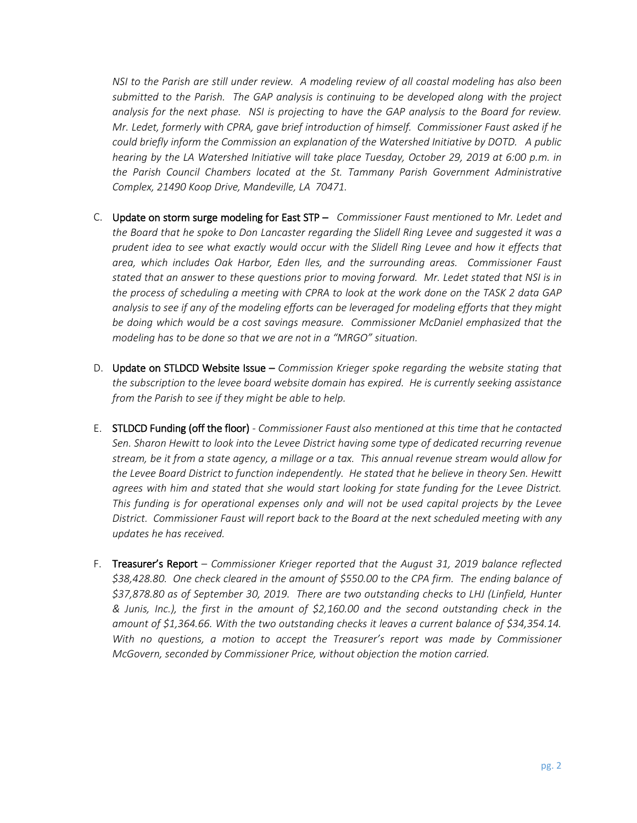*NSI to the Parish are still under review. A modeling review of all coastal modeling has also been submitted to the Parish. The GAP analysis is continuing to be developed along with the project analysis for the next phase. NSI is projecting to have the GAP analysis to the Board for review. Mr. Ledet, formerly with CPRA, gave brief introduction of himself. Commissioner Faust asked if he could briefly inform the Commission an explanation of the Watershed Initiative by DOTD. A public hearing by the LA Watershed Initiative will take place Tuesday, October 29, 2019 at 6:00 p.m. in the Parish Council Chambers located at the St. Tammany Parish Government Administrative Complex, 21490 Koop Drive, Mandeville, LA 70471.*

- C. Update on storm surge modeling for East STP *Commissioner Faust mentioned to Mr. Ledet and the Board that he spoke to Don Lancaster regarding the Slidell Ring Levee and suggested it was a prudent idea to see what exactly would occur with the Slidell Ring Levee and how it effects that area, which includes Oak Harbor, Eden Iles, and the surrounding areas. Commissioner Faust stated that an answer to these questions prior to moving forward. Mr. Ledet stated that NSI is in the process of scheduling a meeting with CPRA to look at the work done on the TASK 2 data GAP analysis to see if any of the modeling efforts can be leveraged for modeling efforts that they might be doing which would be a cost savings measure. Commissioner McDaniel emphasized that the modeling has to be done so that we are not in a "MRGO" situation.*
- D. Update on STLDCD Website Issue *Commission Krieger spoke regarding the website stating that the subscription to the levee board website domain has expired. He is currently seeking assistance from the Parish to see if they might be able to help.*
- E. STLDCD Funding (off the floor) *- Commissioner Faust also mentioned at this time that he contacted Sen. Sharon Hewitt to look into the Levee District having some type of dedicated recurring revenue stream, be it from a state agency, a millage or a tax. This annual revenue stream would allow for the Levee Board District to function independently. He stated that he believe in theory Sen. Hewitt agrees with him and stated that she would start looking for state funding for the Levee District. This funding is for operational expenses only and will not be used capital projects by the Levee District. Commissioner Faust will report back to the Board at the next scheduled meeting with any updates he has received.*
- F. Treasurer's Report *Commissioner Krieger reported that the August 31, 2019 balance reflected \$38,428.80. One check cleared in the amount of \$550.00 to the CPA firm. The ending balance of \$37,878.80 as of September 30, 2019. There are two outstanding checks to LHJ (Linfield, Hunter & Junis, Inc.), the first in the amount of \$2,160.00 and the second outstanding check in the amount of \$1,364.66. With the two outstanding checks it leaves a current balance of \$34,354.14. With no questions, a motion to accept the Treasurer's report was made by Commissioner McGovern, seconded by Commissioner Price, without objection the motion carried.*